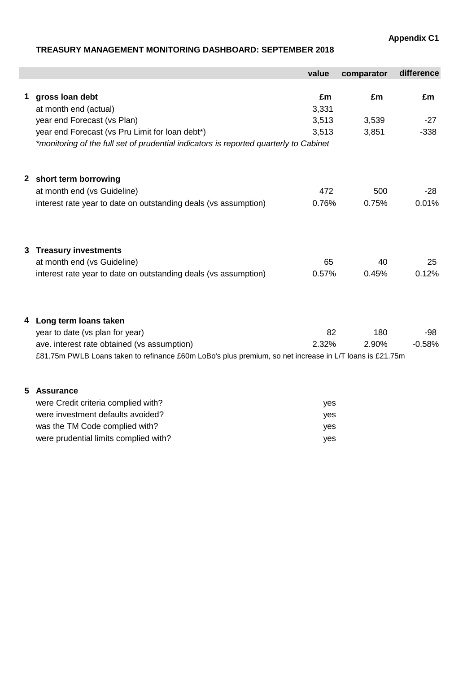**Appendix C1**

# **TREASURY MANAGEMENT MONITORING DASHBOARD: SEPTEMBER 2018**

were prudential limits complied with? We want to be a set of the set of the set of the set of the set of the set of the set of the set of the set of the set of the set of the set of the set of the set of the set of the set

|   |                                                                                                         | value | comparator | difference |
|---|---------------------------------------------------------------------------------------------------------|-------|------------|------------|
| 1 | gross loan debt                                                                                         | £m    | £m         | £m         |
|   | at month end (actual)                                                                                   | 3,331 |            |            |
|   | year end Forecast (vs Plan)                                                                             | 3,513 | 3,539      | $-27$      |
|   | year end Forecast (vs Pru Limit for loan debt*)                                                         | 3,513 | 3,851      | $-338$     |
|   | *monitoring of the full set of prudential indicators is reported quarterly to Cabinet                   |       |            |            |
|   | 2 short term borrowing                                                                                  |       |            |            |
|   | at month end (vs Guideline)                                                                             | 472   | 500        | $-28$      |
|   | interest rate year to date on outstanding deals (vs assumption)                                         | 0.76% | 0.75%      | 0.01%      |
| 3 | <b>Treasury investments</b>                                                                             |       |            |            |
|   | at month end (vs Guideline)                                                                             | 65    | 40         | 25         |
|   | interest rate year to date on outstanding deals (vs assumption)                                         | 0.57% | 0.45%      | 0.12%      |
| 4 | Long term loans taken                                                                                   |       |            |            |
|   | year to date (vs plan for year)                                                                         | 82    | 180        | -98        |
|   | ave. interest rate obtained (vs assumption)                                                             | 2.32% | 2.90%      | $-0.58%$   |
|   | £81.75m PWLB Loans taken to refinance £60m LoBo's plus premium, so net increase in L/T loans is £21.75m |       |            |            |
| 5 | <b>Assurance</b>                                                                                        |       |            |            |
|   | were Credit criteria complied with?                                                                     | yes   |            |            |
|   | were investment defaults avoided?                                                                       | yes   |            |            |
|   | was the TM Code complied with?                                                                          | yes   |            |            |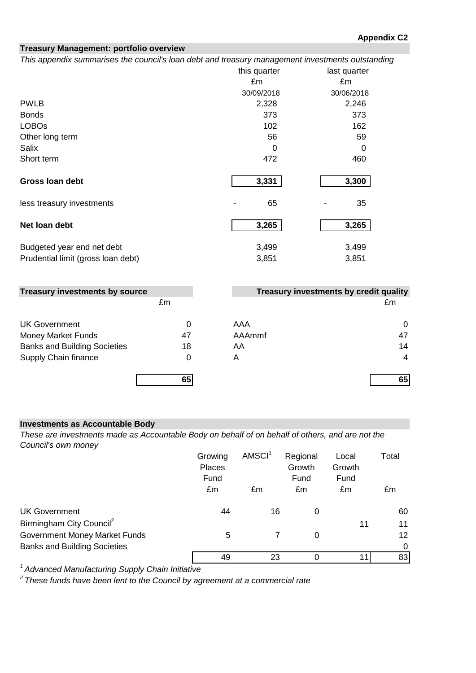# **Treasury Management: portfolio overview**

*This appendix summarises the council's loan debt and treasury management investments outstanding*

|                                    | this quarter | last quarter |
|------------------------------------|--------------|--------------|
|                                    | £m           | £m           |
|                                    | 30/09/2018   | 30/06/2018   |
| <b>PWLB</b>                        | 2,328        | 2,246        |
| <b>Bonds</b>                       | 373          | 373          |
| <b>LOBOs</b>                       | 102          | 162          |
| Other long term                    | 56           | 59           |
| Salix                              | 0            | 0            |
| Short term                         | 472          | 460          |
| Gross Ioan debt                    | 3,331        | 3,300        |
| less treasury investments          | 65           | 35           |
| Net loan debt                      | 3,265        | 3,265        |
| Budgeted year end net debt         | 3,499        | 3,499        |
| Prudential limit (gross loan debt) | 3,851        | 3,851        |

| <b>Treasury investments by source</b> |    |        | Treasury investments by credit quality |
|---------------------------------------|----|--------|----------------------------------------|
|                                       | £m |        | £m                                     |
| <b>UK Government</b>                  | 0  | AAA    | 0                                      |
| <b>Money Market Funds</b>             | 47 | AAAmmf | 47                                     |
| <b>Banks and Building Societies</b>   | 18 | AA     | 14                                     |
| Supply Chain finance                  | 0  | Α      | 4                                      |
|                                       | 65 |        | 65                                     |

# **Investments as Accountable Body**

*These are investments made as Accountable Body on behalf of on behalf of others, and are not the Council's own money*

|                                      | Growing<br><b>Places</b><br>Fund | AMSCI <sup>1</sup> | Regional<br>Growth<br>Fund | Local<br>Growth<br>Fund | Total           |
|--------------------------------------|----------------------------------|--------------------|----------------------------|-------------------------|-----------------|
|                                      | £m                               | £m                 | £m                         | £m                      | £m              |
| <b>UK Government</b>                 | 44                               | 16                 | 0                          |                         | 60              |
| Birmingham City Council <sup>2</sup> |                                  |                    |                            | 11                      | 11              |
| Government Money Market Funds        | 5                                |                    | 0                          |                         | 12 <sup>2</sup> |
| <b>Banks and Building Societies</b>  |                                  |                    |                            |                         | $\Omega$        |
|                                      | 49                               | 23                 |                            | 11                      | 83              |

*<sup>1</sup> Advanced Manufacturing Supply Chain Initiative*

*2 These funds have been lent to the Council by agreement at a commercial rate*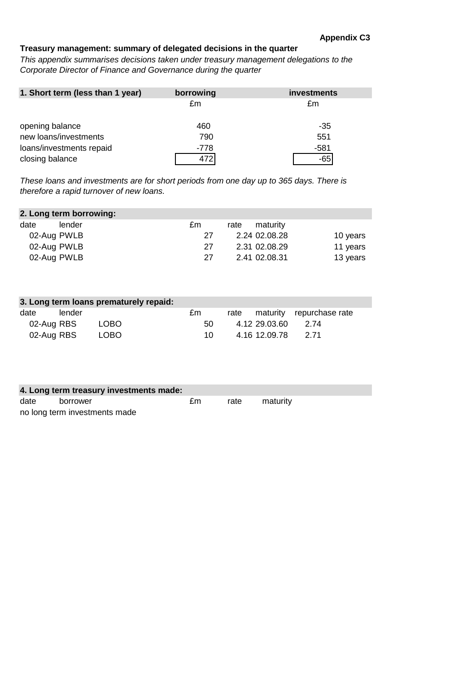# **Treasury management: summary of delegated decisions in the quarter**

*This appendix summarises decisions taken under treasury management delegations to the Corporate Director of Finance and Governance during the quarter*

| 1. Short term (less than 1 year) | borrowing | investments |
|----------------------------------|-----------|-------------|
|                                  | £m        | £m          |
|                                  |           |             |
| opening balance                  | 460       | -35         |
| new loans/investments            | 790       | 551         |
| loans/investments repaid         | -778      | $-581$      |
| closing balance                  | 472       | -65         |

*These loans and investments are for short periods from one day up to 365 days. There is therefore a rapid turnover of new loans.*

| 2. Long term borrowing: |        |    |      |               |          |  |  |  |  |
|-------------------------|--------|----|------|---------------|----------|--|--|--|--|
| date                    | lender | £m | rate | maturity      |          |  |  |  |  |
| 02-Aug PWLB             |        | 27 |      | 2.24 02.08.28 | 10 years |  |  |  |  |
| 02-Aug PWLB             |        | 27 |      | 2.31 02.08.29 | 11 years |  |  |  |  |
| 02-Aug PWLB             |        | 27 |      | 2.41 02.08.31 | 13 years |  |  |  |  |

| 3. Long term loans prematurely repaid: |        |        |      |      |                    |                          |  |  |  |  |
|----------------------------------------|--------|--------|------|------|--------------------|--------------------------|--|--|--|--|
| date                                   | lender |        | £m   | rate |                    | maturity repurchase rate |  |  |  |  |
| 02-Aug RBS                             |        | LOBO   | 50   |      | 4.12 29.03.60      | - 2 74                   |  |  |  |  |
| 02-Aug RBS                             |        | LOBO . | 10 I |      | 4.16.12.09.78 2.71 |                          |  |  |  |  |

| 4. Long term treasury investments made: |                               |    |      |          |  |  |  |  |
|-----------------------------------------|-------------------------------|----|------|----------|--|--|--|--|
| date                                    | borrower                      | £m | rate | maturity |  |  |  |  |
|                                         | no long term investments made |    |      |          |  |  |  |  |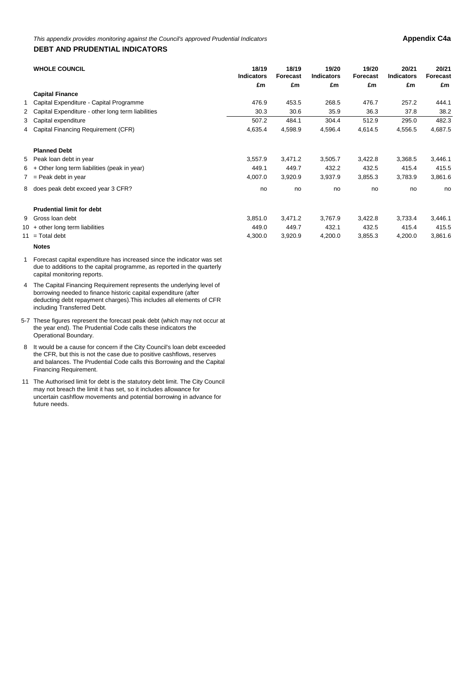#### **DEBT AND PRUDENTIAL INDICATORS**

| <b>WHOLE COUNCIL</b>                                | 18/19             | 18/19   | 19/20   | 19/20   | 20/21    | 20/21             |                 |                   |                 |  |
|-----------------------------------------------------|-------------------|---------|---------|---------|----------|-------------------|-----------------|-------------------|-----------------|--|
|                                                     | <b>Indicators</b> |         |         |         | Forecast | <b>Indicators</b> | <b>Forecast</b> | <b>Indicators</b> | <b>Forecast</b> |  |
|                                                     | £m                | £m      | £m      | £m      | £m       | £m                |                 |                   |                 |  |
| <b>Capital Finance</b>                              |                   |         |         |         |          |                   |                 |                   |                 |  |
| 1 Capital Expenditure - Capital Programme           | 476.9             | 453.5   | 268.5   | 476.7   | 257.2    | 444.1             |                 |                   |                 |  |
| 2 Capital Expenditure - other long term liabilities | 30.3              | 30.6    | 35.9    | 36.3    | 37.8     | 38.2              |                 |                   |                 |  |
| 3 Capital expenditure                               | 507.2             | 484.1   | 304.4   | 512.9   | 295.0    | 482.3             |                 |                   |                 |  |
| 4 Capital Financing Requirement (CFR)               | 4,635.4           | 4,598.9 | 4,596.4 | 4,614.5 | 4,556.5  | 4,687.5           |                 |                   |                 |  |
| <b>Planned Debt</b>                                 |                   |         |         |         |          |                   |                 |                   |                 |  |
| 5 Peak loan debt in year                            | 3,557.9           | 3,471.2 | 3,505.7 | 3,422.8 | 3,368.5  | 3,446.1           |                 |                   |                 |  |
| $6 +$ Other long term liabilities (peak in year)    | 449.1             | 449.7   | 432.2   | 432.5   | 415.4    | 415.5             |                 |                   |                 |  |
| $7 =$ Peak debt in year                             | 4,007.0           | 3,920.9 | 3,937.9 | 3,855.3 | 3,783.9  | 3,861.6           |                 |                   |                 |  |
| 8 does peak debt exceed year 3 CFR?                 | no                | no      | no      | no      | no       | no                |                 |                   |                 |  |
| <b>Prudential limit for debt</b>                    |                   |         |         |         |          |                   |                 |                   |                 |  |
| 9 Gross Ioan debt                                   | 3,851.0           | 3,471.2 | 3,767.9 | 3,422.8 | 3,733.4  | 3,446.1           |                 |                   |                 |  |
| $10 +$ other long term liabilities                  | 449.0             | 449.7   | 432.1   | 432.5   | 415.4    | 415.5             |                 |                   |                 |  |
| $11 = \text{Total debt}$                            | 4,300.0           | 3,920.9 | 4,200.0 | 3,855.3 | 4,200.0  | 3,861.6           |                 |                   |                 |  |

**Notes**

- 1 Forecast capital expenditure has increased since the indicator was set due to additions to the capital programme, as reported in the quarterly capital monitoring reports.
- 4 The Capital Financing Requirement represents the underlying level of borrowing needed to finance historic capital expenditure (after deducting debt repayment charges).This includes all elements of CFR including Transferred Debt.
- 5-7 These figures represent the forecast peak debt (which may not occur at the year end). The Prudential Code calls these indicators the Operational Boundary.
- 8 It would be a cause for concern if the City Council's loan debt exceeded the CFR, but this is not the case due to positive cashflows, reserves and balances. The Prudential Code calls this Borrowing and the Capital Financing Requirement.
- 11 The Authorised limit for debt is the statutory debt limit. The City Council may not breach the limit it has set, so it includes allowance for uncertain cashflow movements and potential borrowing in advance for future needs.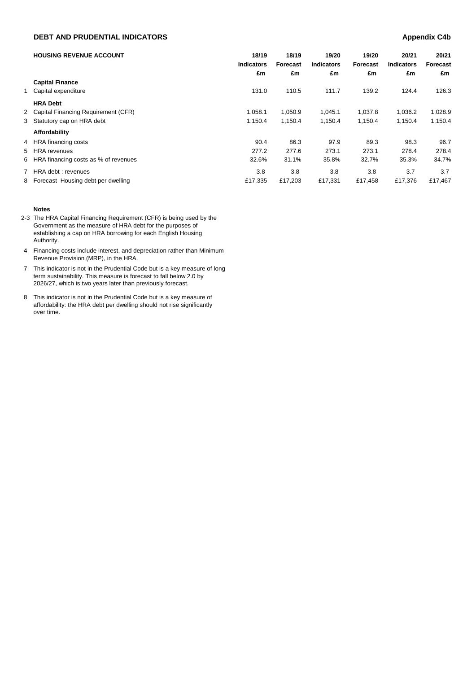## **DEBT AND PRUDENTIAL INDICATORS Appendix C4b**

|   | <b>HOUSING REVENUE ACCOUNT</b>         | 18/19<br><b>Indicators</b><br>£m | 18/19<br>Forecast<br>£m | 19/20<br><b>Indicators</b><br>£m | 19/20<br>Forecast<br>£m | 20/21<br><b>Indicators</b><br>£m | 20/21<br>Forecast<br>£m |
|---|----------------------------------------|----------------------------------|-------------------------|----------------------------------|-------------------------|----------------------------------|-------------------------|
|   | <b>Capital Finance</b>                 |                                  |                         |                                  |                         |                                  |                         |
|   | 1 Capital expenditure                  | 131.0                            | 110.5                   | 111.7                            | 139.2                   | 124.4                            | 126.3                   |
|   | <b>HRA Debt</b>                        |                                  |                         |                                  |                         |                                  |                         |
|   | 2 Capital Financing Requirement (CFR)  | 1.058.1                          | 1,050.9                 | 1,045.1                          | 1.037.8                 | 1.036.2                          | 1,028.9                 |
|   | 3 Statutory cap on HRA debt            | 1,150.4                          | 1,150.4                 | 1,150.4                          | 1,150.4                 | 1,150.4                          | 1,150.4                 |
|   | Affordability                          |                                  |                         |                                  |                         |                                  |                         |
|   | 4 HRA financing costs                  | 90.4                             | 86.3                    | 97.9                             | 89.3                    | 98.3                             | 96.7                    |
|   | 5 HRA revenues                         | 277.2                            | 277.6                   | 273.1                            | 273.1                   | 278.4                            | 278.4                   |
|   | 6 HRA financing costs as % of revenues | 32.6%                            | 31.1%                   | 35.8%                            | 32.7%                   | 35.3%                            | 34.7%                   |
| 7 | HRA debt : revenues                    | 3.8                              | 3.8                     | 3.8                              | 3.8                     | 3.7                              | 3.7                     |
|   | 8 Forecast Housing debt per dwelling   | £17.335                          | £17,203                 | £17,331                          | £17.458                 | £17.376                          | £17.467                 |

#### **Notes**

- 2-3 The HRA Capital Financing Requirement (CFR) is being used by the Government as the measure of HRA debt for the purposes of establishing a cap on HRA borrowing for each English Housing Authority.
- 4 Financing costs include interest, and depreciation rather than Minimum Revenue Provision (MRP), in the HRA.
- 7 This indicator is not in the Prudential Code but is a key measure of long term sustainability. This measure is forecast to fall below 2.0 by 2026/27, which is two years later than previously forecast.
- 8 This indicator is not in the Prudential Code but is a key measure of affordability: the HRA debt per dwelling should not rise significantly over time.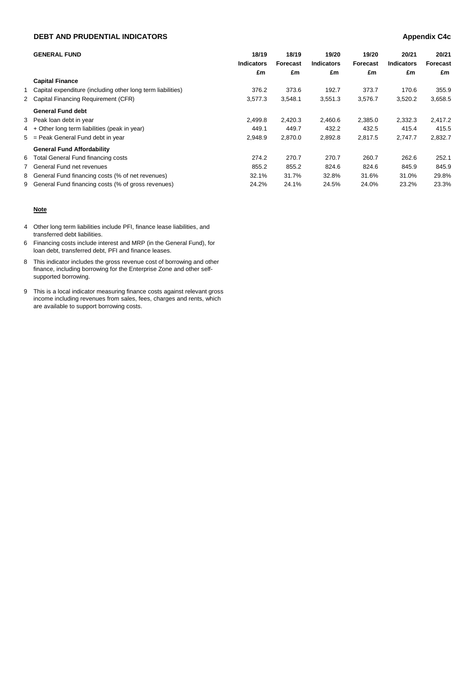## **DEBT AND PRUDENTIAL INDICATORS Appendix C4c**

|   | <b>GENERAL FUND</b>                                           | 18/19<br><b>Indicators</b><br>£m | 18/19<br>Forecast<br>£m | 19/20<br><b>Indicators</b><br>£m | 19/20<br>Forecast<br>£m | 20/21<br><b>Indicators</b><br>£m | 20/21<br>Forecast<br>£m |
|---|---------------------------------------------------------------|----------------------------------|-------------------------|----------------------------------|-------------------------|----------------------------------|-------------------------|
|   | <b>Capital Finance</b>                                        |                                  |                         |                                  |                         |                                  |                         |
|   | 1 Capital expenditure (including other long term liabilities) | 376.2                            | 373.6                   | 192.7                            | 373.7                   | 170.6                            | 355.9                   |
|   | 2 Capital Financing Requirement (CFR)                         | 3,577.3                          | 3,548.1                 | 3,551.3                          | 3,576.7                 | 3,520.2                          | 3,658.5                 |
|   | <b>General Fund debt</b>                                      |                                  |                         |                                  |                         |                                  |                         |
|   | 3 Peak loan debt in year                                      | 2.499.8                          | 2,420.3                 | 2,460.6                          | 2,385.0                 | 2,332.3                          | 2,417.2                 |
|   | 4 + Other long term liabilities (peak in year)                | 449.1                            | 449.7                   | 432.2                            | 432.5                   | 415.4                            | 415.5                   |
|   | 5 = Peak General Fund debt in year                            | 2,948.9                          | 2,870.0                 | 2,892.8                          | 2,817.5                 | 2,747.7                          | 2,832.7                 |
|   | <b>General Fund Affordability</b>                             |                                  |                         |                                  |                         |                                  |                         |
|   | 6 Total General Fund financing costs                          | 274.2                            | 270.7                   | 270.7                            | 260.7                   | 262.6                            | 252.1                   |
| 7 | General Fund net revenues                                     | 855.2                            | 855.2                   | 824.6                            | 824.6                   | 845.9                            | 845.9                   |
|   | 8 General Fund financing costs (% of net revenues)            | 32.1%                            | 31.7%                   | 32.8%                            | 31.6%                   | 31.0%                            | 29.8%                   |
|   | 9 General Fund financing costs (% of gross revenues)          | 24.2%                            | 24.1%                   | 24.5%                            | 24.0%                   | 23.2%                            | 23.3%                   |

### **Note**

- 4 Other long term liabilities include PFI, finance lease liabilities, and transferred debt liabilities.
- 6 Financing costs include interest and MRP (in the General Fund), for loan debt, transferred debt, PFI and finance leases.
- 8 This indicator includes the gross revenue cost of borrowing and other finance, including borrowing for the Enterprise Zone and other selfsupported borrowing.
- 9 This is a local indicator measuring finance costs against relevant gross income including revenues from sales, fees, charges and rents, which are available to support borrowing costs.